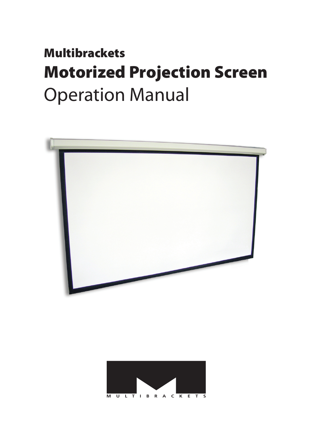# **Multibrackets Motorized Projection Screen Operation Manual**



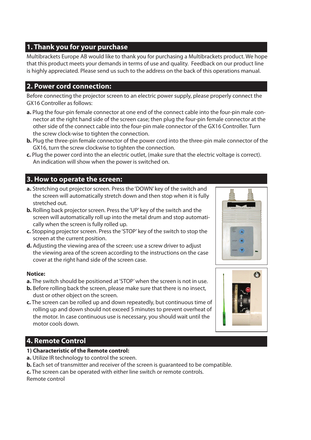# **1. Thank you for your purchase**

Multibrackets Europe AB would like to thank you for purchasing a Multibrackets product. We hope that this product meets your demands in terms of use and quality. Feedback on our product line is highly appreciated. Please send us such to the address on the back of this operations manual.

## **2. Power cord connection:**

Before connecting the projector screen to an electric power supply, please properly connect the GX16 Controller as follows:

- **a.** Plug the four-pin female connector at one end of the connect cable into the four-pin male connector at the right hand side of the screen case; then plug the four-pin female connector at the other side of the connect cable into the four-pin male connector of the GX16 Controller. Turn the screw clock-wise to tighten the connection.
- **b.** Plug the three-pin female connector of the power cord into the three-pin male connector of the GX16, turn the screw clockwise to tighten the connection.
- **c.** Plug the power cord into the an electric outlet, (make sure that the electric voltage is correct). An indication will show when the power is switched on.

## **3. How to operate the screen:**

- **a.** Stretching out projector screen. Press the 'DOWN' key of the switch and the screen will automatically stretch down and then stop when it is fully stretched out.
- **b.** Rolling back projector screen. Press the 'UP' key of the switch and the screen will automatically roll up into the metal drum and stop automatically when the screen is fully rolled up.
- **c.** Stopping projector screen. Press the 'STOP' key of the switch to stop the screen at the current position.
- **d.** Adjusting the viewing area of the screen: use a screw driver to adjust the viewing area of the screen according to the instructions on the case cover at the right hand side of the screen case.

#### **Notice:**

- **a.** The switch should be positioned at 'STOP' when the screen is not in use.
- **b.** Before rolling back the screen, please make sure that there is no insect, dust or other object on the screen.
- **c.** The screen can be rolled up and down repeatedly, but continuous time of rolling up and down should not exceed 5 minutes to prevent overheat of the motor. In case continuous use is necessary, you should wait until the motor cools down.

## **4. Remote Control**

- **1) Characteristic of the Remote control:**
- **a.** Utilize IR technology to control the screen.
- **b.** Each set of transmitter and receiver of the screen is quaranteed to be compatible.
- **c.** The screen can be operated with either line switch or remote controls.

Remote control



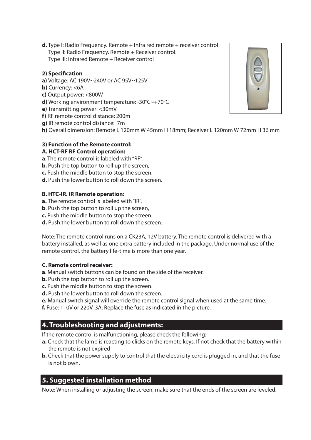**d.** Type I: Radio Frequency. Remote + Infra red remote + receiver control Type II: Radio Frequency. Remote + Receiver control. Type III: Infrared Remote + Receiver control

#### **2) Specification**

- **a)** Voltage: AC 190V~240V or AC 95V~125V
- **b)** Currency: <6A
- **c)** Output power: <800W
- **d)** Working environment temperature: -30°C~+70°C
- **e)** Transmitting power: <30mV
- **f)** RF remote control distance: 200m
- **g)** IR remote control distance: 7m
- **h)** Overall dimension: Remote L 120mm W 45mm H 18mm; Receiver L 120mm W 72mm H 36 mm

#### **3) Function of the Remote control:**

#### **A. HCT-RF RF Control operation:**

- **a**. The remote control is labeled with "RF".
- **b.** Push the top button to roll up the screen,
- **c.** Push the middle button to stop the screen.
- **d.** Push the lower button to roll down the screen.

#### **B. HTC-IR. IR Remote operation:**

- **a.** The remote control is labeled with "IR".
- **b**. Push the top button to roll up the screen.
- **c.** Push the middle button to stop the screen.
- **d.** Push the lower button to roll down the screen.

Note: The remote control runs on a CK23A, 12V battery. The remote control is delivered with a battery installed, as well as one extra battery included in the package. Under normal use of the remote control, the battery life-time is more than one year.

#### **C. Remote control receiver:**

- **a**. Manual switch buttons can be found on the side of the receiver.
- **b.** Push the top button to roll up the screen.
- **c.** Push the middle button to stop the screen.
- **d.** Push the lower button to roll down the screen.
- **e.** Manual switch signal will override the remote control signal when used at the same time.
- **f.** Fuse: 110V or 220V, 3A. Replace the fuse as indicated in the picture.

## **4. Troubleshooting and adjustments:**

If the remote control is malfunctioning, please check the following:

- **a.** Check that the lamp is reacting to clicks on the remote keys. If not check that the battery within the remote is not expired
- **b.** Check that the power supply to control that the electricity cord is plugged in, and that the fuse is not blown.

## **5. Suggested installation method**

Note: When installing or adjusting the screen, make sure that the ends of the screen are leveled.